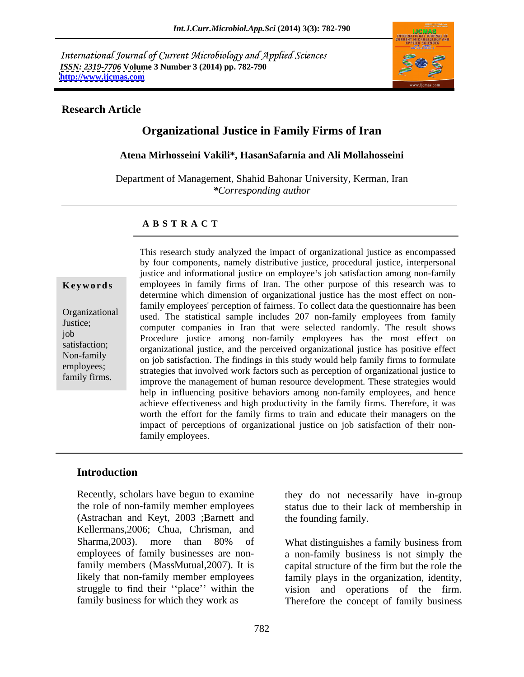International Journal of Current Microbiology and Applied Sciences *ISSN: 2319-7706* **Volume 3 Number 3 (2014) pp. 782-790 <http://www.ijcmas.com>**



## **Research Article**

# **Organizational Justice in Family Firms of Iran**

**Atena Mirhosseini Vakili\*, HasanSafarnia and Ali Mollahosseini**

Department of Management, Shahid Bahonar University, Kerman, Iran *\*Corresponding author* 

## **A B S T R A C T**

**Keywords** employees in family firms of Iran. The other purpose of this research was to Organizational used. The statistical sample includes 207 non-family employees from family Justice;<br>
computer companies in Iran that were selected randomly. The result shows job Procedure justice among non-family employees has the most effect on satisfaction;<br>
organizational justice, and the perceived organizational justice has positive effect Non-family<br>on job satisfaction. The findings in this study would help family firms to formulate employees;<br>strategies that involved work factors such as perception of organizational justice to family firms.<br>improve the management of human resource development. These strategies would This research study analyzed the impact of organizational justice as encompassed by four components, namely distributive justice, procedural justice, interpersonal justice and informational justice on employee's job satisfaction among non-family determine which dimension of organizational justice has the most effect on nonfamily employees' perception of fairness. To collect data the questionnaire has been help in influencing positive behaviors among non-family employees, and hence achieve effectiveness and high productivity in the family firms. Therefore, it was worth the effort for the family firms to train and educate their managers on the impact of perceptions of organizational justice on job satisfaction of their nonfamily employees.

## **Introduction**

Recently, scholars have begun to examine they do not necessarily have in-group the role of non-family member employees status due to their lack of membership in (Astrachan and Keyt, 2003 ;Barnett and Kellermans,2006; Chua, Chrisman, and Sharma, 2003). more than 80% of What distinguishes a family business from employees of family businesses are nonfamily members (MassMutual,2007). It is capital structure of the firm but the role the likely that non-family member employees family plays in the organization, identity, struggle to find their "place" within the vision and operations of the firm.

the founding family.

family business for which they work as Therefore the concept of family business What distinguishes a family business from a non-family business is not simply the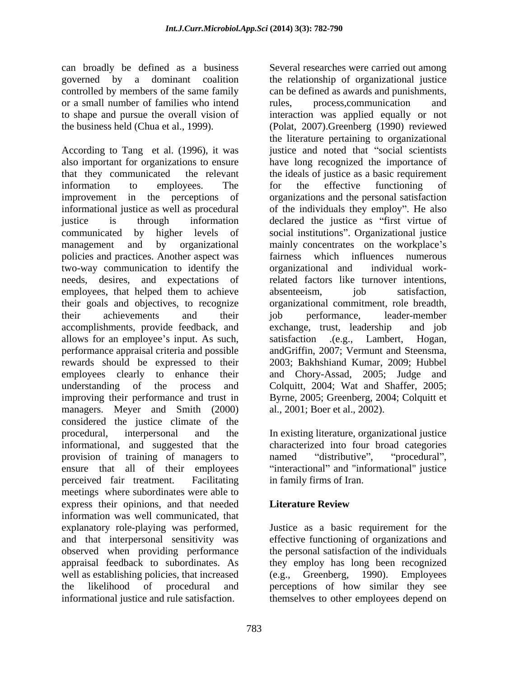can broadly be defined as a business or a small number of families who intend rules, process, communication and

According to Tang et al.  $(1996)$ , it was also important for organizations to ensure have long recognized the importance of that they communicated the relevant the ideals of justice as a basic requirement information to employees. The for the effective functioning of improvement in the perceptions of organizations and the personal satisfaction informational justice as well as procedural of the individuals they employ". He also justice is through information declared the justice as "first virtue of communicated by higher levels of social institutions". Organizational justice management and by organizational mainly concentrates on the workplace's policies and practices. Another aspect was fairness which influences numerous two-way communication to identify the organizational and individual workneeds, desires, and expectations of related factors like turnover intentions, employees, that helped them to achieve absenteeism, job satisfaction, their goals and objectives, to recognize organizational commitment, role breadth, their achievements and their job performance, leader-member accomplishments, provide feedback, and allows for an employee's input. As such, satisfaction (e.g., Lambert, Hogan, performance appraisal criteria and possible rewards should be expressed to their 2003; Bakhshiand Kumar, 2009; Hubbel employees clearly to enhance their and Chory-Assad, 2005; Judge and understanding of the process and Colquitt, 2004; Wat and Shaffer, 2005; improving their performance and trust in managers. Meyer and Smith (2000) considered the justice climate of the procedural, interpersonal and the In existing literature, organizational justice informational, and suggested that the provision of training of managers to named "distributive", "procedural", ensure that all of their employees "interactional" and "informational" justice perceived fair treatment. Facilitating infamily firms of Iran. meetings where subordinates were able to express their opinions, and that needed **Literature Review** information was well communicated, that explanatory role-playing was performed, Justice as a basic requirement for the and that interpersonal sensitivity was effective functioning of organizations and observed when providing performance appraisal feedback to subordinates. As they employ has long been recognized well as establishing policies, that increased (e.g., Greenberg, 1990). Employees the likelihood of procedural and perceptions of how similar they see informational justice and rule satisfaction. themselves to other employees depend on

governed by a dominant coalition the relationship of organizational justice controlled by members of the same family can be defined as awards and punishments, to shape and pursue the overall vision of interaction was applied equally or not the business held (Chua et al., 1999). (Polat, 2007).Greenberg (1990) reviewed Several researches were carried out among rules, process,communication and the literature pertaining to organizational justice and noted that "social scientists" for the effective functioning of fairness which influences numerous organizational and individual workabsenteeism, job satisfaction, job performance, leader-member exchange, trust, leadership satisfaction .(e.g., Lambert, Hogan, andGriffin, 2007; Vermunt and Steensma, Byrne, 2005; Greenberg, 2004; Colquitt et al., 2001; Boer et al., 2002).

> characterized into four broad categories named "distributive", "procedural", in family firms of Iran.

# **Literature Review**

the personal satisfaction of the individuals (e.g., Greenberg, 1990). Employees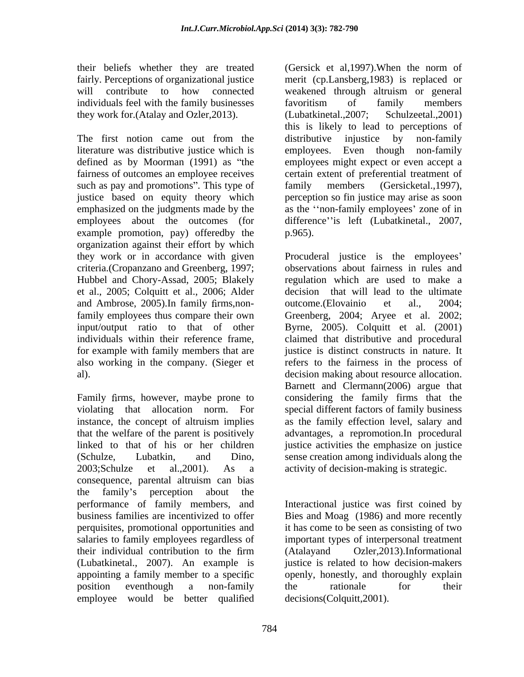will contribute to how connected weakened through altruism or general individuals feel with the family businesses favoritism of family members they work for (Atalay and Ozler, 2013). (Lubatkinetal., 2007; Schulzeetal., 2001)

literature was distributive justice which is fairness of outcomes an employee receives such as pay and promotions". This type of family members (Gersicketal., 1997), employees about the outcomes (for example promotion, pay) offeredby the p.965). organization against their effort by which criteria.(Cropanzano and Greenberg, 1997; Hubbel and Chory-Assad, 2005; Blakely et al., 2005; Colquitt et al., 2006; Alder and Ambrose, 2005). In family firms, non-<br>outcome. (Elovainio et al., 2004;

2003;Schulze et al.,2001). As a activity of decision-making is strategic. consequence, parental altruism can bias the family's perception about the performance of family members, and Interactional justice was first coined by business families are incentivized to offer Bies and Moag (1986) and more recently perquisites, promotional opportunities and salaries to family employees regardless of important types of interpersonal treatment their individual contribution to the firm (Atalayand Ozler, 2013). Informational (Lubatkinetal., 2007). An example is justice is related to how decision-makers appointing a family member to a specific openly, honestly, and thoroughly explain position eventhough a non-family the rationale for their employee would be better qualified

their beliefs whether they are treated (Gersick et al,1997).When the norm of fairly. Perceptions of organizational justice merit (cp.Lansberg,1983) is replaced or The first notion came out from the distributive injustice by non-family defined as by Moorman (1991) as "the employees might expect or even accept a justice based on equity theory which perception so fin justice may arise as soon emphasized on the judgments made by the as the "non-family employees' zone of in weakened through altruism or general favoritism of family members (Lubatkinetal.,2007; Schulzeetal.,2001) this is likely to lead to perceptions of distributive injustice by non-family Even though non-family certain extent of preferential treatment of family members (Gersicketal.,1997), difference" is left (Lubatkinetal., 2007, p.965).

they work or in accordance with given Procuderal justice is the employees family employees thus compare their own Greenberg, 2004; Aryee et al. 2002; input/output ratio to that of other Byrne, 2005). Colquitt et al. (2001) individuals within their reference frame, claimed that distributive and procedural for example with family members that are justice is distinct constructs in nature. It also working in the company. (Sieger et refers to the fairness in the process of al). decision making about resource allocation. Family firms, however, maybe prone to considering the family firms that the violating that allocation norm. For special different factors of family business instance, the concept of altruism implies as the family effection level, salary and that the welfare of the parent is positively advantages, a repromotion.In procedural linked to that of his or her children justice activities the emphasize on justice (Schulze, Lubatkin, and Dino, sense creation among individuals along the observations about fairness in rules and regulation which are used to make a decision that will lead to the ultimate outcome.(Elovainio et al., 2004; Barnett and Clermann(2006) argue that

> it has come to be seen as consisting of two (Atalayand Ozler,2013).Informational the rationale for their decisions(Colquitt,2001).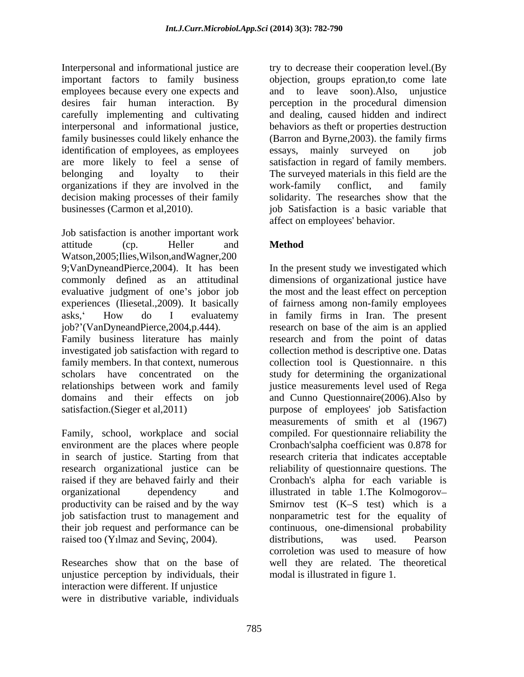Interpersonal and informational justice are try to decrease their cooperation level.(By important factors to family business objection, groups epration,to come late employees because every one expects and and to leave soon). Also, unjustice desires fair human interaction. By perception in the procedural dimension carefully implementing and cultivating and dealing, caused hidden and indirect interpersonal and informational justice, behaviors as theft or properties destruction family businesses could likely enhance the (Barron and Byrne, 2003). the family firms identification of employees, as employees essays, mainly surveyed on job are more likely to feel a sense of satisfaction in regard of family members. belonging and loyalty to their The surveyed materials in this field are the organizations if they are involved in the work-family conflict, and family decision making processes of their family

Job satisfaction is another important work attitude (cp. Heller and **Method** Watson,2005;Ilies,Wilson,andWagner,200 9;VanDyneandPierce,2004). It has been In the present study we investigated which commonly defined as an attitudinal dimensions of organizational justice have evaluative judgment of one's jobor job the most and the least effect on perception experiences (Iliesetal.,2009). It basically of fairness among non-family employees asks, How do I evaluatemy in family firms in Iran. The present job? (VanDyneandPierce,2004,p.444). research on base of the aim is an applied Family business literature has mainly research and from the point of datas investigated job satisfaction with regard to family members. In that context, numerous collection tool is Questionnaire. n this scholars have concentrated on the study for determining the organizational relationships between work and family justice measurements level used of Rega domains and their effects on job and Cunno Questionnaire(2006).Also by satisfaction.(Sieger et al,2011) purpose of employees' job Satisfaction

Family, school, workplace and social environment are the places where people in search of justice. Starting from that their job request and performance can be raised too (Yilmaz and Sevinç, 2004). distributions, was used. Pearson

unjustice perception by individuals, their interaction were different. If unjustice were in distributive variable, individuals

businesses (Carmon et al,2010). job Satisfaction is a basic variable that and to leave soon). Also, essays, mainly surveyed on job work-family conflict, and family solidarity. The researches show that the affect on employees' behavior.

# **Method**

research organizational justice can be reliability of questionnaire questions. The raised if they are behaved fairly and their Cronbach's alpha for each variable is organizational dependency and illustrated in table 1.The Kolmogorov productivity can be raised and by the way Smirnov test (K–S test) which is a job satisfaction trust to management and nonparametric test for the equality of Researches show that on the base of well they are related. The theoretical collection method is descriptive one. Datas measurements of smith et al (1967) compiled. For questionnaire reliability the Cronbach'salpha coefficient was 0.878 for research criteria that indicates acceptable continuous, one-dimensional probability distributions, was used. Pearson corroletion was used to measure of how modal is illustrated in figure 1.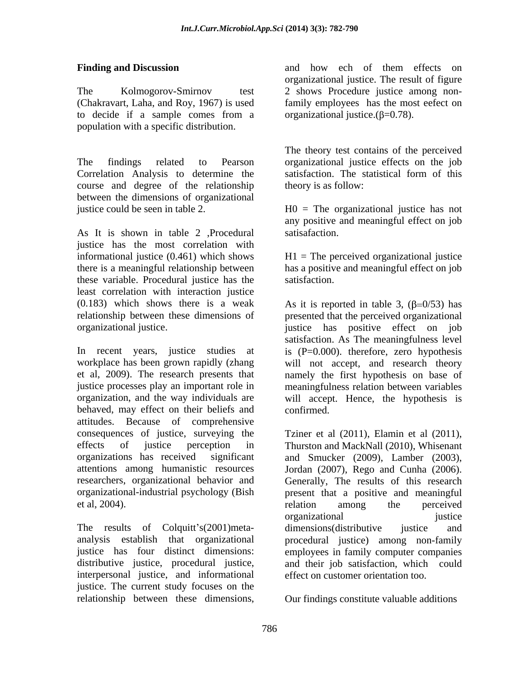The Kolmogorov-Smirnov test 2 shows Procedure justice among non-(Chakravart, Laha, and Roy, 1967) is used family employees has the most eefect on to decide if a sample comes from a organizational justice. $(\beta=0.78)$ . population with a specific distribution.

The findings related to Pearson organizational justice effects on the job Correlation Analysis to determine the satisfaction. The statistical form of this course and degree of the relationship between the dimensions of organizational justice could be seen in table 2. H0 = The organizational justice has not

As It is shown in table 2 ,Procedural justice has the most correlation with informational justice (0.461) which shows H1 = The perceived organizational justice there is a meaningful relationship between has a positive and meaningful effect on job these variable. Procedural justice has the least correlation with interaction justice

behaved, may effect on their beliefs and confirmed. attitudes. Because of comprehensive consequences of justice, surveying the effects of justice perception in Thurston and MackNall (2010), Whisenant organizations has received significant and Smucker (2009), Lamber (2003), attentions among humanistic resources Jordan (2007), Rego and Cunha (2006). researchers, organizational behavior and Generally, The results of this research organizational-industrial psychology (Bish present that a positive and meaningful

The results of Colquitt's(2001)meta-<br>dimensions(distributive justice and distributive justice, procedural justice, interpersonal justice, and informational justice. The current study focuses on the relationship between these dimensions,

**Finding and Discussion** and how echo f them effects on and how ech of them effects on organizational justice. The result of figure organizational justice. $(\beta=0.78)$ .

> The theory test contains of the perceived satisfaction. The statistical form of this theory is as follow:

any positive and meaningful effect on job satisafaction.

satisfaction.

(0.183) which shows there is a weak As it is reported in table 3,  $(\beta=0/53)$  has relationship between these dimensions of presented that the perceived organizational organizational justice. justice has positive effect on job In recent years, justice studies at is (P=0.000). therefore, zero hypothesis workplace has been grown rapidly (zhang will not accept, and research theory et al, 2009). The research presents that namely the first hypothesis on base of justice processes play an important role in meaningfulness relation between variables organization, and the way individuals are will accept. Hence, the hypothesis is satisfaction. As The meaningfulness level confirmed.

et al, 2004). The relation among the perceived analysis establish that organizational procedural justice) among non-family justice has four distinct dimensions: employees in family computer companies Tziner et al (2011), Elamin et al (2011), relation among the perceived organizational justice dimensions(distributive justice and and their job satisfaction, which could effect on customer orientation too.

Our findings constitute valuable additions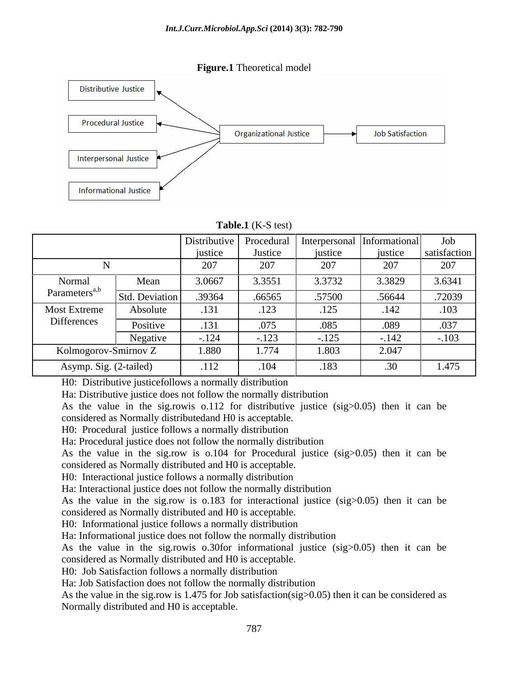



## **Table.1** (K-S test)

|                           |                       | Distributive               | Procedural       | 1   Interpersonal   Informational |         | Job          |
|---------------------------|-----------------------|----------------------------|------------------|-----------------------------------|---------|--------------|
|                           |                       | justice                    | Justice          | <b>ustice</b>                     | justice | satisfaction |
|                           |                       | 207<br>$\angle$ U $\prime$ | $\Omega$<br>ZU I | 207                               | 207     | 207          |
| Normal                    | Mean                  | 3.0667                     | 3.3551           | 3.3732                            | 3.3829  | 3.6341       |
| Parameters <sup>a,b</sup> | <b>Std. Deviation</b> | .39364                     | .66565           | .57500                            | .56644  | .72039       |
| <b>Most Extreme</b>       | Absolute              | .131                       | .123             | 125<br>ن∠⊥.                       | .142    | .103         |
| Differences               | Positive              | .131                       | .075             | .085                              | .089    | .037         |
|                           | Negative              | $-.124$                    | $-.123$          | $-.125$                           | $-.142$ | $-.103$      |
| Kolmogorov-Smirnov Z      |                       | 1.880                      | 1.774            | 1.803                             | 2.047   |              |
| Asymp. Sig. (2-tailed)    |                       | .112                       | .104             | .183                              | 30      | 1.475        |

H0: Distributive justicefollows a normally distribution

Ha: Distributive justice does not follow the normally distribution

As the value in the sig.rowis o.112 for distributive justice (sig>0.05) then it can be considered as Normally distributedand H0 is acceptable.

H0: Procedural justice follows a normally distribution

Ha: Procedural justice does not follow the normally distribution

As the value in the sig.row is  $0.104$  for Procedural justice (sig  $> 0.05$ ) then it can be considered as Normally distributed and H0 is acceptable.

H0: Interactional justice follows a normally distribution

Ha: Interactional justice does not follow the normally distribution

As the value in the sig.row is o.183 for interactional justice (sig>0.05) then it can be considered as Normally distributed and H0 is acceptable.

H0: Informational justice follows a normally distribution

Ha: Informational justice does not follow the normally distribution

As the value in the sig.rowis o.30for informational justice (sig>0.05) then it can be considered as Normally distributed and H0 is acceptable.

H0: Job Satisfaction follows a normally distribution

Ha: Job Satisfaction does not follow the normally distribution

As the value in the sig.row is 1.475 for Job satisfaction( $sig>0.05$ ) then it can be considered as Normally distributed and H0 is acceptable.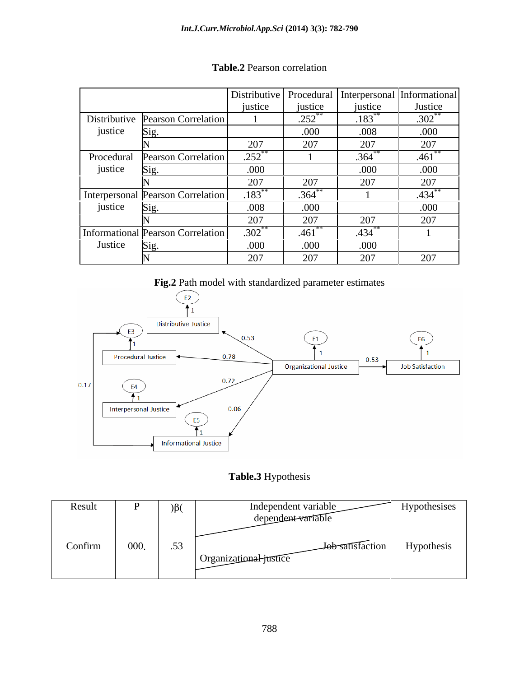|         |                                   |             |               |                      | Distributive   Procedural   Interpersonal   Informational |
|---------|-----------------------------------|-------------|---------------|----------------------|-----------------------------------------------------------|
|         |                                   | justice     | justice       | justice              | Justice                                                   |
|         | Distributive Pearson Correlation  |             | 252<br>ے رے . | .183                 | $.302**$                                                  |
| justice | $\mathbf{D}1\mathbf{Q}$ .         |             | .000          | .008                 | .000                                                      |
|         |                                   | 207         | 207           | 207                  | 207                                                       |
|         | Procedural Pearson Correlation    | $.252$ **   |               | $.364***$            | $.461$ **                                                 |
| justice | D12.                              | .000        |               | .000                 | .000                                                      |
|         |                                   | 207         | 207           | 207                  | 207                                                       |
|         | Interpersonal Pearson Correlation | $.183***$   | .364          |                      | $.434***$                                                 |
| justice | S12.                              | .008        | .000          |                      | .000                                                      |
|         |                                   | 207         | 207           | 207                  | 207                                                       |
|         | Informational Pearson Correlation | $.302^{**}$ | .461          | $.434$ <sup>**</sup> |                                                           |
| Justice | $\mathbf{D}1\mathbf{Q}$ .         | .000        | .000          | .000                 |                                                           |
|         |                                   | 207         | 207           | 207                  | 207                                                       |

# **Table.2** Pearson correlation

**Fig.2** Path model with standardized parameter estimates



# **Table.3** Hypothesis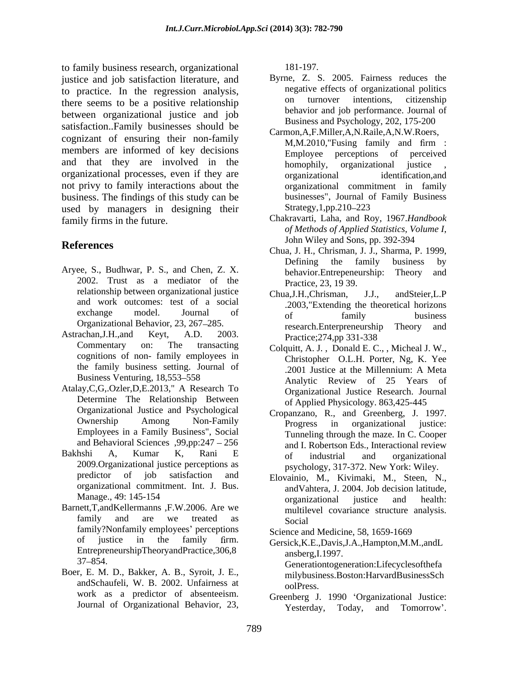to family business research, organizational justice and job satisfaction literature, and to practice. In the regression analysis,<br>there seems to be a positive relationship on turnover intentions, citizenship there seems to be a positive relationship between organizational justice and job satisfaction..Family businesses should be cognizant of ensuring their non-family<br>M,M.2010, Fusing family and firm: members are informed of key decisions Employee perceptions of perceived and that they are involved in the homophily, organizational justice organizational processes, even if they are not privy to family interactions about the business. The findings of this study can be used by managers in designing their Strategy, 1,pp. 210–223 family firms in the future. Chakravarti, Laha, and Roy, 1967.*Handbook* 

- Aryee, S., Budhwar, P. S., and Chen, Z. X. behavior.Entrepeneurship: Theory and 2002. Trust as a mediator of the relationship between organizational justice<br>Chua, J.H., Chrisman, J.J., and Steier, L.P and work outcomes: test of a social
- cognitions of non- family employees in the family business setting. Journal of
- Atalay,C,G,.Ozler,D,E.2013," A Research To Determine The Relationship Between Organizational Justice and Psychological and Behavioral Sciences ,99,pp:247 256
- predictor of job satisfaction and Elovainio, M., Kivimaki, M., Steen, N., organizational commitment. Int. J. Bus.
- family?Nonfamily employees' perceptions EntrepreneurshipTheoryandPractice,306,8 ansberg,I.1997.
- Boer, E. M. D., Bakker, A. B., Syroit, J. E., andSchaufeli, W. B. 2002. Unfairness at oolPress.

181-197.

- Byrne, Z. S. 2005. Fairness reduces the negative effects of organizational politics on turnover intentions, citizenship behavior and job performance. Journal of Business and Psychology, 202, 175-200
- Carmon,A,F.Miller,A,N.Raile,A,N.W.Roers, M,M.2010,"Fusing family and firm : Employee perceptions of perceived homophily, organizational justice , organizational identification, and organizational commitment in family businesses", Journal of Family Business Strategy, 1, pp. 210–223
- *of Methods of Applied Statistics, Volume I*, John Wiley and Sons, pp. 392-394
- **References**<br>
Chua, J. H., Chrisman, J. J., Sharma, P. 1999, Defining the family business by behavior.Entrepeneurship: Theory Practice, 23, 19 39.
- exchange model. Journal of  $_{\text{of}}$   $_{\text{family}}$   $_{\text{husinges}}$ Organizational Behavior, 23, 267–285. research.Enterpreneurship Theory and Astrachan, J.H., and Keyt, A.D. 2003. Practice:  $274 \text{ m}^2$  331-338 Chua, J.H., Chrisman, .2003,"Extending the theoretical horizons of family business research.Enterpreneurship Theory and Practice;274,pp 331-338
	- Commentary on: The transacting Colquitt, A. J., Donald E. C., , Micheal J. W., Business Venturing, 18,553–558 Analytic Review of 25 Years of Christopher O.L.H. Porter, Ng, K. Yee .2001 Justice at the Millennium: A Meta Organizational Justice Research. Journal of Applied Physicology. 863,425-445
- Ownership Among Non-Family **Progress** in organizational instice Ownership Among Non-Family Progress in organizational justice:<br>Employees in a Family Business", Social Tunneling through the maze In C Cooper Bakhshi A, Kumar K, Rani E of industrial and organizational nshi A, Kumar K, Kani E of industrial and organizational and and the expected of industrial and organizational  $2009.$  Organizational justice perceptions as Cropanzano, R., and Greenberg, J. 1997. Progress in organizational justice: Tunneling through the maze. In C. Cooper and I. Robertson Eds., Interactional review of industrial and organizational psychology, 317-372. New York: Wiley.
- Manage., 49: 145-154 errors and the organizational instict and health method. Manage., 49: 145-154 organizational justice and<br>Barnett,T,andKellermanns F.W.2006. Are we multilevel covariance structure family and are we treated as Social andVahtera, J. 2004. Job decision latitude, organizational justice and health: multilevel covariance structure analysis. Social and the set of the set of the set of the set of the set of the set of the set of the set of the set of the set of the set of the set of the set of the set of the set of the set of the set of the set of the set of th

Science and Medicine, 58, 1659-1669

- of justice in the family rm. Gersick,K.E.,Davis,J.A.,Hampton,M.M.,andL 37 854. Generationtogeneration:Lifecyclesofthefa ansberg,I.1997. milybusiness.Boston:HarvardBusinessSch oolPress.
- work as a predictor of absenteeism. Greenberg J. 1990 Organizational Justice: Journal of Organizational Behavior, 23, Yesterday, Today, and Tomorrow'. Yesterday, Today, and Tomorrow'.